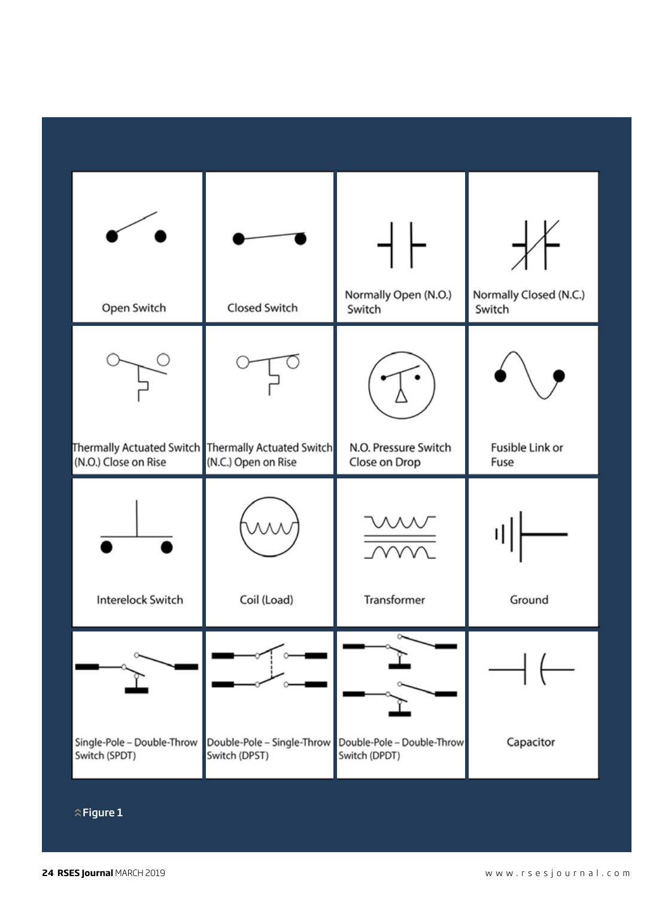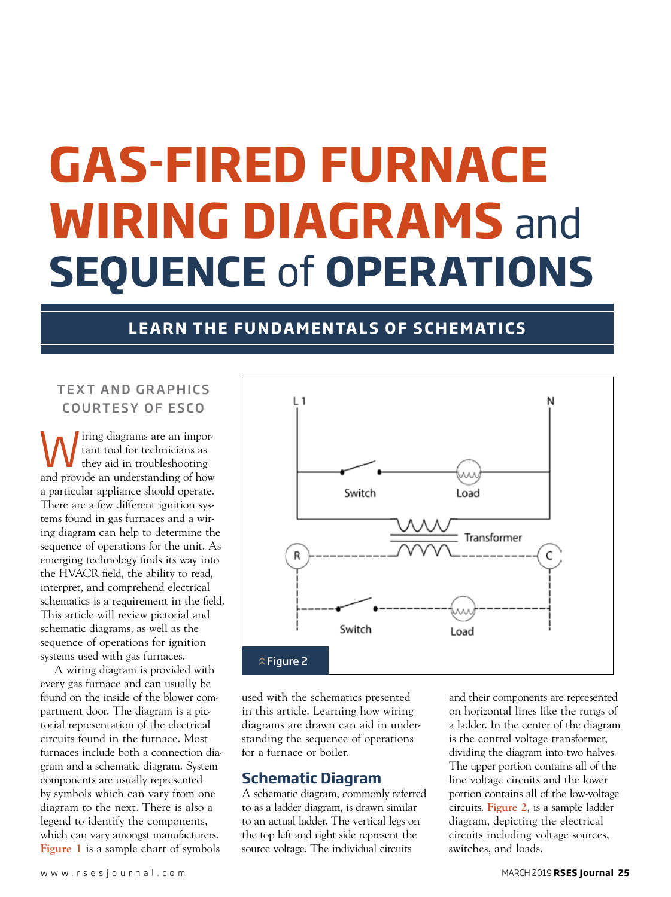# **GAS-FIRED FURNACE WIRING DIAGRAMS** and **SEQUENCE** of **OPERATIONS**

# **LEARN THE FUNDAMENTALS OF SCHEMATICS**

# **TEXT AND GRAPHICS** COURTESY OF ESCO

Wiring diagrams are an impor-<br>tant tool for technicians as<br>and provide an understanding of bow tant tool for technicians as and provide an understanding of how a particular appliance should operate. There are a few different ignition systems found in gas furnaces and a wiring diagram can help to determine the sequence of operations for the unit. As emerging technology finds its way into the HVACR field, the ability to read, interpret, and comprehend electrical schematics is a requirement in the field. This article will review pictorial and schematic diagrams, as well as the sequence of operations for ignition systems used with gas furnaces.

A wiring diagram is provided with every gas furnace and can usually be found on the inside of the blower compartment door. The diagram is a pictorial representation of the electrical circuits found in the furnace. Most furnaces include both a connection diagram and a schematic diagram. System components are usually represented by symbols which can vary from one diagram to the next. There is also a legend to identify the components, which can vary amongst manufacturers. **Figure 1** is a sample chart of symbols



used with the schematics presented in this article. Learning how wiring diagrams are drawn can aid in understanding the sequence of operations for a furnace or boiler.

# **Schematic Diagram**

A schematic diagram, commonly referred to as a ladder diagram, is drawn similar to an actual ladder. The vertical legs on the top left and right side represent the source voltage. The individual circuits

and their components are represented on horizontal lines like the rungs of a ladder. In the center of the diagram is the control voltage transformer, dividing the diagram into two halves. The upper portion contains all of the line voltage circuits and the lower portion contains all of the low-voltage circuits. **Figure 2**, is a sample ladder diagram, depicting the electrical circuits including voltage sources, switches, and loads.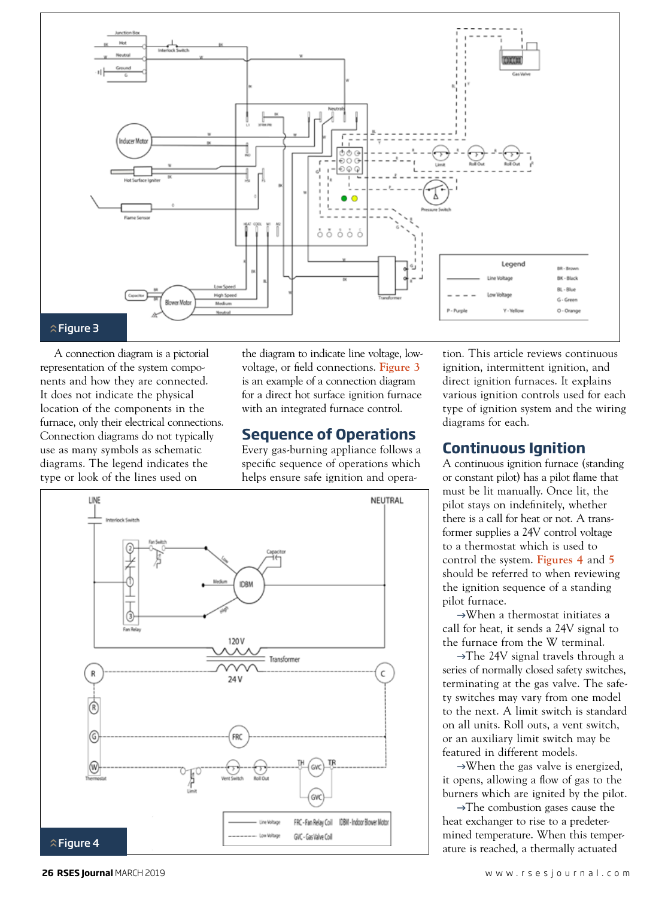

A connection diagram is a pictorial representation of the system components and how they are connected. It does not indicate the physical location of the components in the furnace, only their electrical connections. Connection diagrams do not typically use as many symbols as schematic diagrams. The legend indicates the type or look of the lines used on

the diagram to indicate line voltage, lowvoltage, or field connections. **Figure 3**  is an example of a connection diagram for a direct hot surface ignition furnace with an integrated furnace control.

#### **Sequence of Operations**

Every gas-burning appliance follows a specific sequence of operations which helps ensure safe ignition and opera-



tion. This article reviews continuous ignition, intermittent ignition, and direct ignition furnaces. It explains various ignition controls used for each type of ignition system and the wiring diagrams for each.

#### **Continuous Ignition**

A continuous ignition furnace (standing or constant pilot) has a pilot flame that must be lit manually. Once lit, the pilot stays on indefinitely, whether there is a call for heat or not. A transformer supplies a 24V control voltage to a thermostat which is used to control the system. **Figures 4** and **5** should be referred to when reviewing the ignition sequence of a standing pilot furnace.

 $\rightarrow$ When a thermostat initiates a call for heat, it sends a 24V signal to the furnace from the W terminal.

 $\rightarrow$ The 24V signal travels through a series of normally closed safety switches, terminating at the gas valve. The safety switches may vary from one model to the next. A limit switch is standard on all units. Roll outs, a vent switch, or an auxiliary limit switch may be featured in different models.

 $\rightarrow$ When the gas valve is energized, it opens, allowing a flow of gas to the burners which are ignited by the pilot.

 $\rightarrow$ The combustion gases cause the heat exchanger to rise to a predetermined temperature. When this temperature is reached, a thermally actuated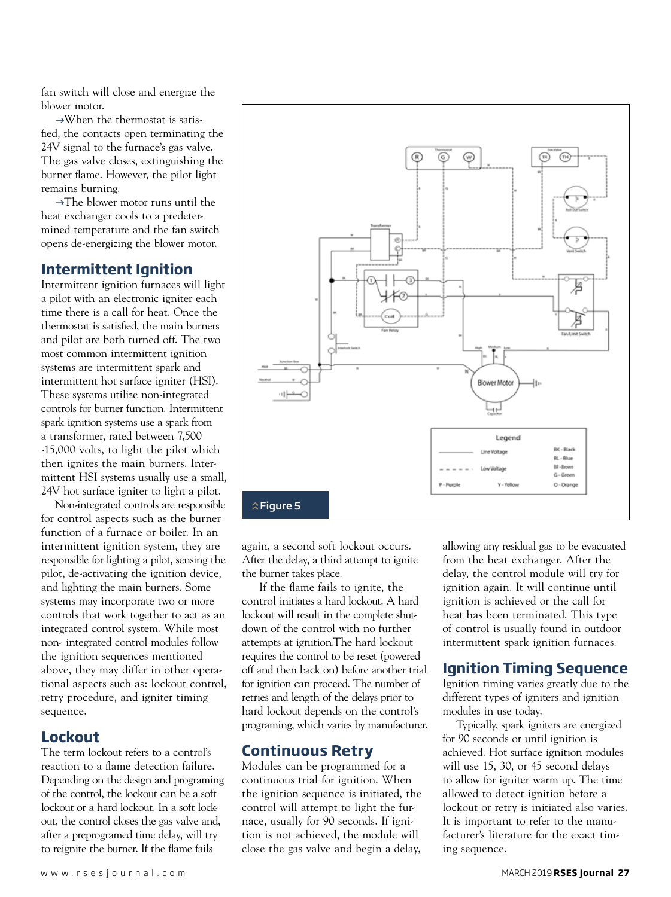fan switch will close and energize the blower motor.

 $\rightarrow$ When the thermostat is satisfied, the contacts open terminating the 24V signal to the furnace's gas valve. The gas valve closes, extinguishing the burner flame. However, the pilot light remains burning.

 $\rightarrow$ The blower motor runs until the heat exchanger cools to a predetermined temperature and the fan switch opens de-energizing the blower motor.

#### **Intermittent Ignition**

Intermittent ignition furnaces will light a pilot with an electronic igniter each time there is a call for heat. Once the thermostat is satisfied, the main burners and pilot are both turned off. The two most common intermittent ignition systems are intermittent spark and intermittent hot surface igniter (HSI). These systems utilize non-integrated controls for burner function. Intermittent spark ignition systems use a spark from a transformer, rated between 7,500 -15,000 volts, to light the pilot which then ignites the main burners. Intermittent HSI systems usually use a small, 24V hot surface igniter to light a pilot.

Non-integrated controls are responsible for control aspects such as the burner function of a furnace or boiler. In an intermittent ignition system, they are responsible for lighting a pilot, sensing the pilot, de-activating the ignition device, and lighting the main burners. Some systems may incorporate two or more controls that work together to act as an integrated control system. While most non- integrated control modules follow the ignition sequences mentioned above, they may differ in other operational aspects such as: lockout control, retry procedure, and igniter timing sequence.

# **Lockout**

The term lockout refers to a control's reaction to a flame detection failure. Depending on the design and programing of the control, the lockout can be a soft lockout or a hard lockout. In a soft lockout, the control closes the gas valve and, after a preprogramed time delay, will try to reignite the burner. If the flame fails



again, a second soft lockout occurs. After the delay, a third attempt to ignite the burner takes place.

 If the flame fails to ignite, the control initiates a hard lockout. A hard lockout will result in the complete shutdown of the control with no further attempts at ignition.The hard lockout requires the control to be reset (powered off and then back on) before another trial for ignition can proceed. The number of retries and length of the delays prior to hard lockout depends on the control's programing, which varies by manufacturer.

# **Continuous Retry**

Modules can be programmed for a continuous trial for ignition. When the ignition sequence is initiated, the control will attempt to light the furnace, usually for 90 seconds. If ignition is not achieved, the module will close the gas valve and begin a delay,

allowing any residual gas to be evacuated from the heat exchanger. After the delay, the control module will try for ignition again. It will continue until ignition is achieved or the call for heat has been terminated. This type of control is usually found in outdoor intermittent spark ignition furnaces.

# **Ignition Timing Sequence**

Ignition timing varies greatly due to the different types of igniters and ignition modules in use today.

Typically, spark igniters are energized for 90 seconds or until ignition is achieved. Hot surface ignition modules will use 15, 30, or 45 second delays to allow for igniter warm up. The time allowed to detect ignition before a lockout or retry is initiated also varies. It is important to refer to the manufacturer's literature for the exact timing sequence.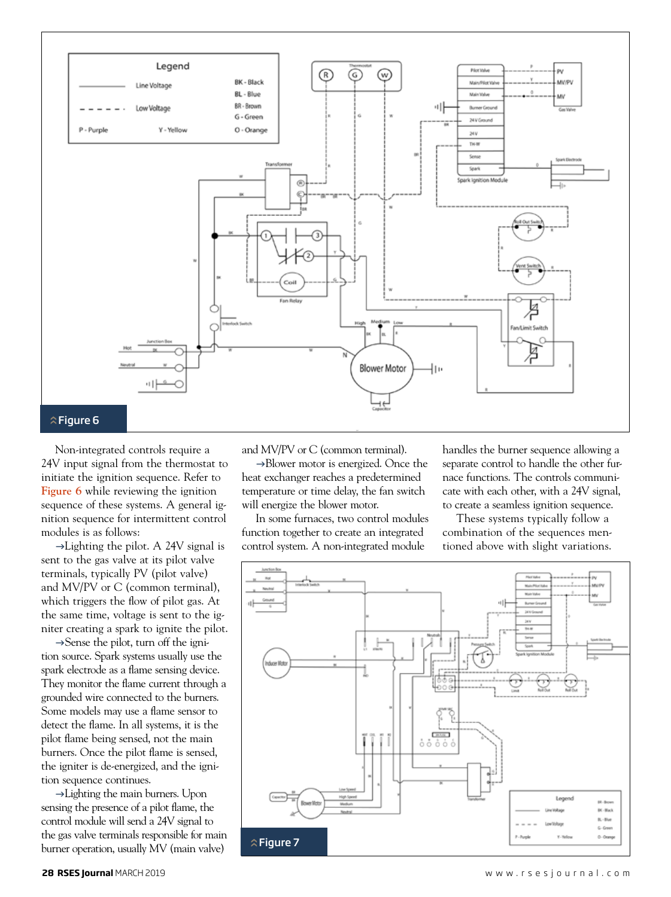

Non-integrated controls require a 24V input signal from the thermostat to initiate the ignition sequence. Refer to **Figure 6** while reviewing the ignition sequence of these systems. A general ignition sequence for intermittent control modules is as follows:

 $\rightarrow$ Lighting the pilot. A 24V signal is sent to the gas valve at its pilot valve terminals, typically PV (pilot valve) and MV/PV or C (common terminal), which triggers the flow of pilot gas. At the same time, voltage is sent to the igniter creating a spark to ignite the pilot.

 $\rightarrow$  Sense the pilot, turn off the ignition source. Spark systems usually use the spark electrode as a flame sensing device. They monitor the flame current through a grounded wire connected to the burners. Some models may use a flame sensor to detect the flame. In all systems, it is the pilot flame being sensed, not the main burners. Once the pilot flame is sensed, the igniter is de-energized, and the ignition sequence continues.

 $\rightarrow$ Lighting the main burners. Upon sensing the presence of a pilot flame, the control module will send a 24V signal to the gas valve terminals responsible for main burner operation, usually MV (main valve)

and MV/PV or C (common terminal).

 $\rightarrow$ Blower motor is energized. Once the heat exchanger reaches a predetermined temperature or time delay, the fan switch will energize the blower motor.

In some furnaces, two control modules function together to create an integrated control system. A non-integrated module

handles the burner sequence allowing a separate control to handle the other furnace functions. The controls communicate with each other, with a 24V signal, to create a seamless ignition sequence.

These systems typically follow a combination of the sequences mentioned above with slight variations.

![](_page_4_Figure_10.jpeg)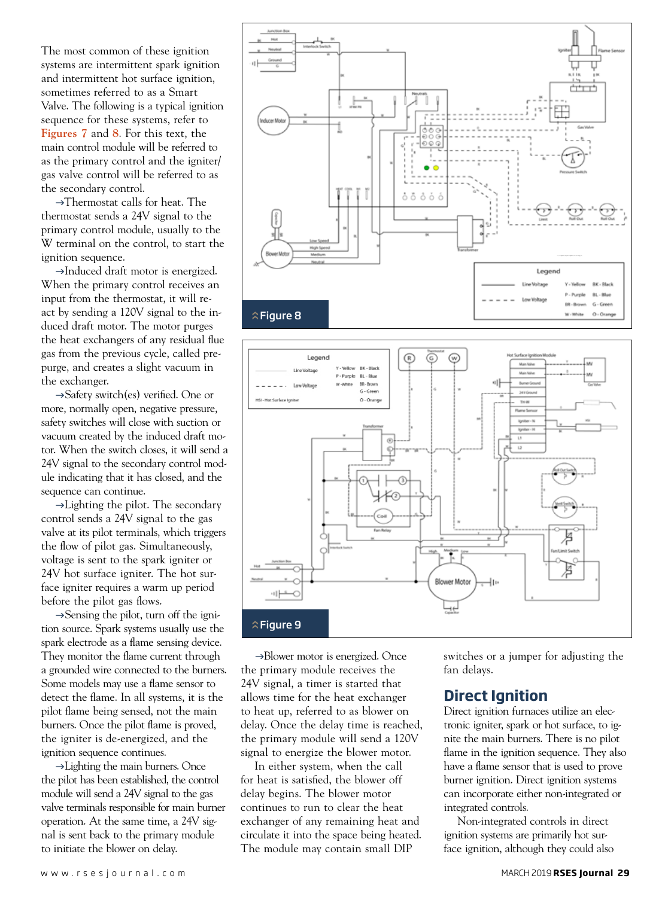The most common of these ignition systems are intermittent spark ignition and intermittent hot surface ignition, sometimes referred to as a Smart Valve. The following is a typical ignition sequence for these systems, refer to **Figures 7** and **8**. For this text, the main control module will be referred to as the primary control and the igniter/ gas valve control will be referred to as the secondary control.

 $\rightarrow$ Thermostat calls for heat. The thermostat sends a 24V signal to the primary control module, usually to the W terminal on the control, to start the ignition sequence.

 $\rightarrow$ Induced draft motor is energized. When the primary control receives an input from the thermostat, it will react by sending a 120V signal to the induced draft motor. The motor purges the heat exchangers of any residual flue gas from the previous cycle, called prepurge, and creates a slight vacuum in the exchanger.

 $\rightarrow$ Safety switch(es) verified. One or more, normally open, negative pressure, safety switches will close with suction or vacuum created by the induced draft motor. When the switch closes, it will send a 24V signal to the secondary control module indicating that it has closed, and the sequence can continue.

 $\rightarrow$ Lighting the pilot. The secondary control sends a 24V signal to the gas valve at its pilot terminals, which triggers the flow of pilot gas. Simultaneously, voltage is sent to the spark igniter or 24V hot surface igniter. The hot surface igniter requires a warm up period before the pilot gas flows.

 $\rightarrow$ Sensing the pilot, turn off the ignition source. Spark systems usually use the spark electrode as a flame sensing device. They monitor the flame current through a grounded wire connected to the burners. Some models may use a flame sensor to detect the flame. In all systems, it is the pilot flame being sensed, not the main burners. Once the pilot flame is proved, the igniter is de-energized, and the ignition sequence continues.

 $\rightarrow$ Lighting the main burners. Once the pilot has been established, the control module will send a 24V signal to the gas valve terminals responsible for main burner operation. At the same time, a 24V signal is sent back to the primary module to initiate the blower on delay.

![](_page_5_Figure_7.jpeg)

![](_page_5_Figure_8.jpeg)

 $\rightarrow$ Blower motor is energized. Once the primary module receives the 24V signal, a timer is started that allows time for the heat exchanger to heat up, referred to as blower on delay. Once the delay time is reached, the primary module will send a 120V signal to energize the blower motor.

In either system, when the call for heat is satisfied, the blower off delay begins. The blower motor continues to run to clear the heat exchanger of any remaining heat and circulate it into the space being heated. The module may contain small DIP

switches or a jumper for adjusting the fan delays.

# **Direct Ignition**

Direct ignition furnaces utilize an electronic igniter, spark or hot surface, to ignite the main burners. There is no pilot flame in the ignition sequence. They also have a flame sensor that is used to prove burner ignition. Direct ignition systems can incorporate either non-integrated or integrated controls.

Non-integrated controls in direct ignition systems are primarily hot surface ignition, although they could also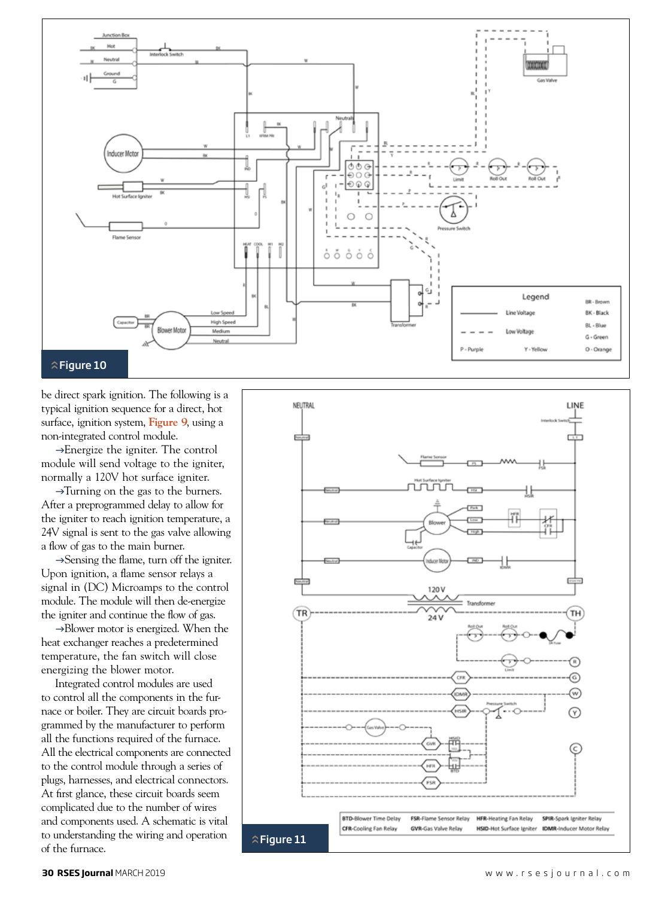![](_page_6_Figure_0.jpeg)

be direct spark ignition. The following is a typical ignition sequence for a direct, hot surface, ignition system, **Figure 9**, using a non-integrated control module.

 $\rightarrow$ Energize the igniter. The control module will send voltage to the igniter, normally a 120V hot surface igniter.

 $\rightarrow$ Turning on the gas to the burners. After a preprogrammed delay to allow for the igniter to reach ignition temperature, a 24V signal is sent to the gas valve allowing a flow of gas to the main burner.

 $\rightarrow$  Sensing the flame, turn off the igniter. Upon ignition, a flame sensor relays a signal in (DC) Microamps to the control module. The module will then de-energize the igniter and continue the flow of gas.

 $\rightarrow$ Blower motor is energized. When the heat exchanger reaches a predetermined temperature, the fan switch will close energizing the blower motor.

Integrated control modules are used to control all the components in the furnace or boiler. They are circuit boards pro grammed by the manufacturer to perform all the functions required of the furnace. All the electrical components are connected to the control module through a series of plugs, harnesses, and electrical connectors. At first glance, these circuit boards seem complicated due to the number of wires and components used. A schematic is vital to understanding the wiring and operation of the furnace.

![](_page_6_Figure_7.jpeg)